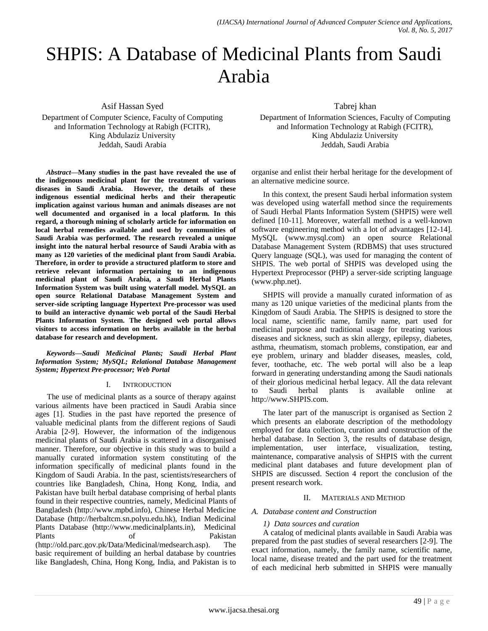# SHPIS: A Database of Medicinal Plants from Saudi Arabia

Asif Hassan Syed

Department of Computer Science, Faculty of Computing and Information Technology at Rabigh (FCITR), King Abdulaziz University Jeddah, Saudi Arabia

*Abstract***—Many studies in the past have revealed the use of the indigenous medicinal plant for the treatment of various diseases in Saudi Arabia. However, the details of these indigenous essential medicinal herbs and their therapeutic implication against various human and animals diseases are not well documented and organised in a local platform. In this regard, a thorough mining of scholarly article for information on local herbal remedies available and used by communities of Saudi Arabia was performed. The research revealed a unique insight into the natural herbal resource of Saudi Arabia with as many as 120 varieties of the medicinal plant from Saudi Arabia. Therefore, in order to provide a structured platform to store and retrieve relevant information pertaining to an indigenous medicinal plant of Saudi Arabia, a Saudi Herbal Plants Information System was built using waterfall model. MySQL an open source Relational Database Management System and server-side scripting language Hypertext Pre-processor was used to build an interactive dynamic web portal of the Saudi Herbal Plants Information System. The designed web portal allows visitors to access information on herbs available in the herbal database for research and development.**

*Keywords—Saudi Medicinal Plants; Saudi Herbal Plant Information System; MySQL; Relational Database Management System; Hypertext Pre-processor; Web Portal*

## I. INTRODUCTION

The use of medicinal plants as a source of therapy against various ailments have been practiced in Saudi Arabia since ages [1]. Studies in the past have reported the presence of valuable medicinal plants from the different regions of Saudi Arabia [2-9]. However, the information of the indigenous medicinal plants of Saudi Arabia is scattered in a disorganised manner. Therefore, our objective in this study was to build a manually curated information system constituting of the information specifically of medicinal plants found in the Kingdom of Saudi Arabia. In the past, scientists/researchers of countries like Bangladesh, China, Hong Kong, India, and Pakistan have built herbal database comprising of herbal plants found in their respective countries, namely, Medicinal Plants of Bangladesh (http://www.mpbd.info), Chinese Herbal Medicine Database (http://herbaltcm.sn.polyu.edu.hk), Indian Medicinal Plants Database (http://www.medicinalplants.in), Medicinal Plants of Pakistan (http://old.parc.gov.pk/Data/Medicinal/medsearch.asp). The basic requirement of building an herbal database by countries like Bangladesh, China, Hong Kong, India, and Pakistan is to Tabrej khan

Department of Information Sciences, Faculty of Computing and Information Technology at Rabigh (FCITR), King Abdulaziz University Jeddah, Saudi Arabia

organise and enlist their herbal heritage for the development of an alternative medicine source.

In this context, the present Saudi herbal information system was developed using waterfall method since the requirements of Saudi Herbal Plants Information System (SHPIS) were well defined [10-11]. Moreover, waterfall method is a well-known software engineering method with a lot of advantages [12-14]. MySQL (www.mysql.com) an open source Relational Database Management System (RDBMS) that uses structured Query language (SQL), was used for managing the content of SHPIS. The web portal of SHPIS was developed using the Hypertext Preprocessor (PHP) a server-side scripting language (www.php.net).

SHPIS will provide a manually curated information of as many as 120 unique varieties of the medicinal plants from the Kingdom of Saudi Arabia. The SHPIS is designed to store the local name, scientific name, family name, part used for medicinal purpose and traditional usage for treating various diseases and sickness, such as skin allergy, epilepsy, diabetes, asthma, rheumatism, stomach problems, constipation, ear and eye problem, urinary and bladder diseases, measles, cold, fever, toothache, etc. The web portal will also be a leap forward in generating understanding among the Saudi nationals of their glorious medicinal herbal legacy. All the data relevant to Saudi herbal plants is available online at http://www.SHPIS.com.

The later part of the manuscript is organised as Section 2 which presents an elaborate description of the methodology employed for data collection, curation and construction of the herbal database. In Section 3, the results of database design, implementation, user interface, visualization, testing, maintenance, comparative analysis of SHPIS with the current medicinal plant databases and future development plan of SHPIS are discussed. Section 4 report the conclusion of the present research work.

## II. MATERIALS AND METHOD

## *A. Database content and Construction*

## *1) Data sources and curation*

A catalog of medicinal plants available in Saudi Arabia was prepared from the past studies of several researchers [2-9]. The exact information, namely, the family name, scientific name, local name, disease treated and the part used for the treatment of each medicinal herb submitted in SHPIS were manually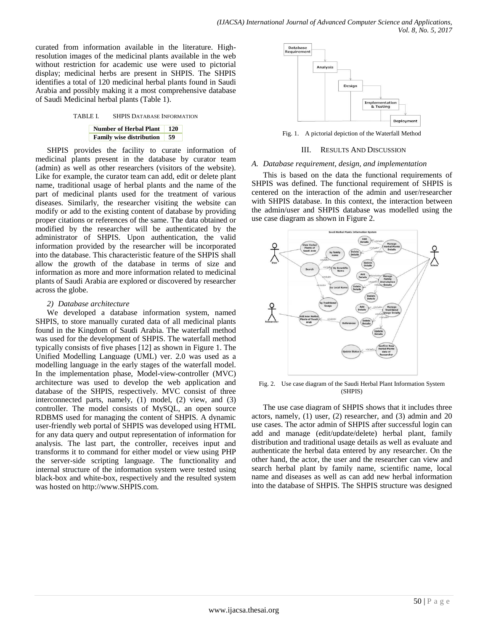curated from information available in the literature. Highresolution images of the medicinal plants available in the web without restriction for academic use were used to pictorial display; medicinal herbs are present in SHPIS. The SHPIS identifies a total of 120 medicinal herbal plants found in Saudi Arabia and possibly making it a most comprehensive database of Saudi Medicinal herbal plants (Table 1).

## TABLE I. SHPIS DATABASE INFORMATION

#### **Number of Herbal Plant 120 Family wise distribution 59**

SHPIS provides the facility to curate information of medicinal plants present in the database by curator team (admin) as well as other researchers (visitors of the website). Like for example, the curator team can add, edit or delete plant name, traditional usage of herbal plants and the name of the part of medicinal plants used for the treatment of various diseases. Similarly, the researcher visiting the website can modify or add to the existing content of database by providing proper citations or references of the same. The data obtained or modified by the researcher will be authenticated by the administrator of SHPIS. Upon authentication, the valid information provided by the researcher will be incorporated into the database. This characteristic feature of the SHPIS shall allow the growth of the database in terms of size and information as more and more information related to medicinal plants of Saudi Arabia are explored or discovered by researcher across the globe.

## *2) Database architecture*

We developed a database information system, named SHPIS, to store manually curated data of all medicinal plants found in the Kingdom of Saudi Arabia. The waterfall method was used for the development of SHPIS. The waterfall method typically consists of five phases [12] as shown in Figure 1. The Unified Modelling Language (UML) ver. 2.0 was used as a modelling language in the early stages of the waterfall model. In the implementation phase, Model-view-controller (MVC) architecture was used to develop the web application and database of the SHPIS, respectively. MVC consist of three interconnected parts, namely, (1) model, (2) view, and (3) controller. The model consists of MySQL, an open source RDBMS used for managing the content of SHPIS. A dynamic user-friendly web portal of SHPIS was developed using HTML for any data query and output representation of information for analysis. The last part, the controller, receives input and transforms it to command for either model or view using PHP the server-side scripting language. The functionality and internal structure of the information system were tested using black-box and white-box, respectively and the resulted system was hosted on http://www.SHPIS.com.



Fig. 1. A pictorial depiction of the Waterfall Method

## III. RESULTS AND DISCUSSION

## *A. Database requirement, design, and implementation*

This is based on the data the functional requirements of SHPIS was defined. The functional requirement of SHPIS is centered on the interaction of the admin and user/researcher with SHPIS database. In this context, the interaction between the admin/user and SHPIS database was modelled using the use case diagram as shown in Figure 2.



Fig. 2. Use case diagram of the Saudi Herbal Plant Information System (SHPIS)

The use case diagram of SHPIS shows that it includes three actors, namely, (1) user, (2) researcher, and (3) admin and 20 use cases. The actor admin of SHPIS after successful login can add and manage (edit/update/delete) herbal plant, family distribution and traditional usage details as well as evaluate and authenticate the herbal data entered by any researcher. On the other hand, the actor, the user and the researcher can view and search herbal plant by family name, scientific name, local name and diseases as well as can add new herbal information into the database of SHPIS. The SHPIS structure was designed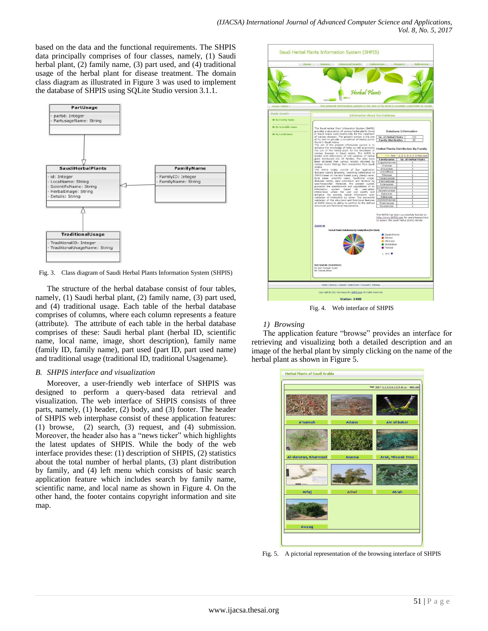based on the data and the functional requirements. The SHPIS data principally comprises of four classes, namely, (1) Saudi herbal plant, (2) family name, (3) part used, and (4) traditional usage of the herbal plant for disease treatment. The domain class diagram as illustrated in Figure 3 was used to implement the database of SHPIS using SQLite Studio version 3.1.1.



Fig. 3. Class diagram of Saudi Herbal Plants Information System (SHPIS)

The structure of the herbal database consist of four tables, namely, (1) Saudi herbal plant, (2) family name, (3) part used, and (4) traditional usage. Each table of the herbal database comprises of columns, where each column represents a feature (attribute). The attribute of each table in the herbal database comprises of these: Saudi herbal plant (herbal ID, scientific name, local name, image, short description), family name (family ID, family name), part used (part ID, part used name) and traditional usage (traditional ID, traditional Usagename).

# *B. SHPIS interface and visualization*

Moreover, a user-friendly web interface of SHPIS was designed to perform a query-based data retrieval and visualization. The web interface of SHPIS consists of three parts, namely, (1) header, (2) body, and (3) footer. The header of SHPIS web interphase consist of these application features: (1) browse, (2) search, (3) request, and (4) submission. Moreover, the header also has a "news ticker" which highlights the latest updates of SHPIS. While the body of the web interface provides these: (1) description of SHPIS, (2) statistics about the total number of herbal plants, (3) plant distribution by family, and (4) left menu which consists of basic search application feature which includes search by family name, scientific name, and local name as shown in Figure 4. On the other hand, the footer contains copyright information and site map.

|                                                  | Saudi Herbal Plants Information System (SHPIS)<br>Home Browse<br><b>Advanced Search</b>                                                                                                                                                                                                                                           | Submission                                                                                        | Request<br>References                                                                                                                 |
|--------------------------------------------------|-----------------------------------------------------------------------------------------------------------------------------------------------------------------------------------------------------------------------------------------------------------------------------------------------------------------------------------|---------------------------------------------------------------------------------------------------|---------------------------------------------------------------------------------------------------------------------------------------|
| News Ticker :                                    | Herhal Plants<br>The present information system is the one of its kind to provide a platform to study                                                                                                                                                                                                                             |                                                                                                   |                                                                                                                                       |
| <b>Basic Search</b>                              | <b>Information About the Database</b>                                                                                                                                                                                                                                                                                             |                                                                                                   |                                                                                                                                       |
| 30 By Family Name                                |                                                                                                                                                                                                                                                                                                                                   |                                                                                                   |                                                                                                                                       |
| 39 By Scientific Name<br><b>39 By Local Name</b> | The Saudi Herbal Plant Information System (SHPIS)<br>provides a description of various herbal plants found<br>in Saudi Arabia used traditionally for the treatment                                                                                                                                                                |                                                                                                   | <b>Database Information</b>                                                                                                           |
|                                                  | of various diseases. The present system is the one                                                                                                                                                                                                                                                                                | No. of Herbal Plants                                                                              | 120                                                                                                                                   |
|                                                  | of its kind to provide a consortium of herbal plants<br>found in Saudi Arabia.<br>The aim of the present information system is to<br>enhance the knowledge of herbs as well as promote Herbal Plants Distribution By Family<br>the use of the herbal plant for the treatment of<br>various diseases in Saudi Arabia. The SHPIS is | <b>Family Distribution</b>                                                                        | $\overline{59}$                                                                                                                       |
|                                                  | loaded with information of 120 varieties of herbal                                                                                                                                                                                                                                                                                |                                                                                                   | Page: Eigh 1 2 3 4 5 6 7 8 Next : Last                                                                                                |
|                                                  | plant distributed into 59 families. The data have<br>been obtained from various records obtained by                                                                                                                                                                                                                               | Familyname<br>Zygophyllaceae                                                                      | No. of Herbal Plants<br>6                                                                                                             |
|                                                  | various recent findings from researchers from Saudi<br>Arabia.                                                                                                                                                                                                                                                                    | Vitaceae                                                                                          | 1                                                                                                                                     |
|                                                  | The SHPIS mainly consist of four application                                                                                                                                                                                                                                                                                      | Urticaceae                                                                                        | 5                                                                                                                                     |
|                                                  | features namely browsing, searching information of                                                                                                                                                                                                                                                                                | Umbelliferae<br>Tiliaceae                                                                         | 1<br>ĭ                                                                                                                                |
|                                                  | SHPIS based on the text-based query (family name,<br>local name, scientific name, traditional usage,                                                                                                                                                                                                                              | Tamaricaceae                                                                                      | 2                                                                                                                                     |
|                                                  | diseases name), data submission and retrieval by                                                                                                                                                                                                                                                                                  | Sterculiaceae                                                                                     | ī                                                                                                                                     |
|                                                  | user/researcher. Moreover, the present system<br>promotes the maintenance and upgradation of an                                                                                                                                                                                                                                   | Solanaceae<br>Scrophulariaceae                                                                    | 3<br>ī                                                                                                                                |
|                                                  | information system based on user-admin<br>interactions where the user can modify and                                                                                                                                                                                                                                              | Salvadoraceae                                                                                     | ı                                                                                                                                     |
|                                                  | enhance the existing herbal information upon                                                                                                                                                                                                                                                                                      | Rutaceae                                                                                          | 1                                                                                                                                     |
|                                                  | validation of information by admin. The successful<br>validation of the structural and functional features                                                                                                                                                                                                                        | Rubiacoae                                                                                         | 1                                                                                                                                     |
|                                                  | of SHPIS shows its ability to conform to the defined                                                                                                                                                                                                                                                                              | Ristolochiaceae<br>Rhamnaceae                                                                     | 1<br>1                                                                                                                                |
|                                                  | structural and functional requirements.                                                                                                                                                                                                                                                                                           | Resedaceae                                                                                        |                                                                                                                                       |
|                                                  | Zoom In                                                                                                                                                                                                                                                                                                                           |                                                                                                   | The SHPIS has been successfully hosted on<br>http://www.SHPIS.com for users/researchers<br>to assess the saudi herbal plants details. |
|                                                  | Herbal Plants Distribution By Family Wise (Pie Chart)                                                                                                                                                                                                                                                                             |                                                                                                   |                                                                                                                                       |
|                                                  |                                                                                                                                                                                                                                                                                                                                   | 2ygophyllaceae<br>Witsceae<br><b>Urticaceae</b><br><b>O</b> Umbrillierae<br>Tiliaceae<br>▲ 1/12 ▼ |                                                                                                                                       |
|                                                  | <b>DATABASE DESIGNER:</b><br>Dr Asif Hassan Syed<br>Mr. Tabrej Khan                                                                                                                                                                                                                                                               |                                                                                                   |                                                                                                                                       |
|                                                  | Home   Browse   Search   Submission   Request   Sitemap                                                                                                                                                                                                                                                                           |                                                                                                   |                                                                                                                                       |
|                                                  | Copyright @ 2017 Developed By SHPIS.com All Rights Reserved.                                                                                                                                                                                                                                                                      |                                                                                                   |                                                                                                                                       |
|                                                  | Visitor: 2480                                                                                                                                                                                                                                                                                                                     |                                                                                                   |                                                                                                                                       |

Fig. 4. Web interface of SHPIS

# *1) Browsing*

The application feature "browse" provides an interface for retrieving and visualizing both a detailed description and an image of the herbal plant by simply clicking on the name of the herbal plant as shown in Figure 5.



Fig. 5. A pictorial representation of the browsing interface of SHPIS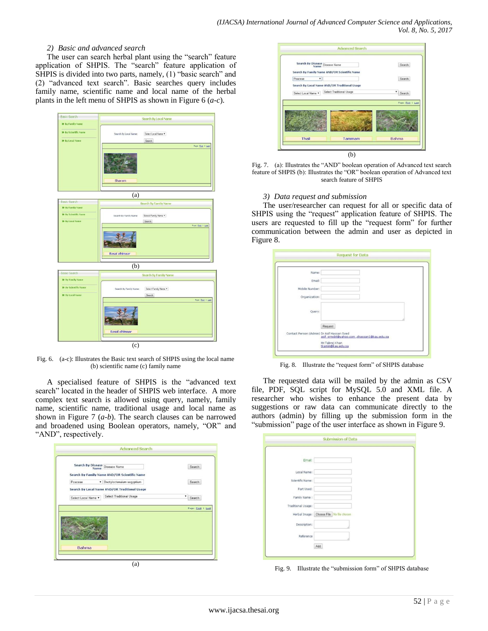## *2) Basic and advanced search*

The user can search herbal plant using the "search" feature application of SHPIS. The "search" feature application of SHPIS is divided into two parts, namely, (1) "basic search" and (2) "advanced text search". Basic searches query includes family name, scientific name and local name of the herbal plants in the left menu of SHPIS as shown in Figure 6 (*a*-*c*).

| <b>Basic Search</b>                      |                        | Search By Local Name         |                    |
|------------------------------------------|------------------------|------------------------------|--------------------|
| 39 By Family Name                        |                        |                              |                    |
| <b>39 By Scientific Name</b>             | Search By Local Name:  | Select Local Name *          |                    |
| 39 By Local Name                         |                        | Search                       |                    |
|                                          |                        |                              | Page: Einit 1 Last |
|                                          | Sharam                 |                              |                    |
|                                          | (a)                    |                              |                    |
| Basic Search                             |                        | Search By Family Name        |                    |
| 39 By Family Name                        |                        |                              |                    |
| <b>39 By Scientific Name</b>             | Search By Family Name: | Select Family Name           |                    |
| 39 By Local Name                         |                        | Search                       | Page: First 1 Last |
|                                          | <b>Basal alhimaar</b>  |                              |                    |
|                                          | (b)                    |                              |                    |
| Basic Search<br><b>39 By Family Name</b> |                        | Search By Family Name        |                    |
| <b>39 By Scientific Nome</b>             |                        |                              |                    |
| 39 By Local Name                         | Search By Family Name: | Select Family Name<br>Search |                    |
|                                          |                        |                              | Paper Einst 1 Last |
|                                          | <b>Basal alhimaar</b>  |                              |                    |
|                                          |                        |                              |                    |

Fig. 6. (a-c): Illustrates the Basic text search of SHPIS using the local name (b) scientific name (c) family name

A specialised feature of SHPIS is the "advanced text search" located in the header of SHPIS web interface. A more complex text search is allowed using query, namely, family name, scientific name, traditional usage and local name as shown in Figure 7 (*a*-*b*). The search clauses can be narrowed and broadened using Boolean operators, namely, "OR" and "AND", respectively.

| Search By Disease Disease Name |                                               | Search             |
|--------------------------------|-----------------------------------------------|--------------------|
|                                | Search By Family Name AND/OR Scientific Name  |                    |
| Poaceae                        | · Dactyloctenuium aegyptium                   | Search             |
|                                | Search By Local Name AND/OR Traditional Usage |                    |
| Select Local Name *            | Select Traditional Usage                      | ۳<br>Search        |
|                                |                                               | Page: First 1 Last |

|                     | Search By Disease Disease Name | Search By Family Name AND/OR Scientific Name  | Search             |
|---------------------|--------------------------------|-----------------------------------------------|--------------------|
| Poaceae             | ٠                              |                                               | Search             |
|                     |                                | Search By Local Name AND/OR Traditional Usage |                    |
| Select Local Name * |                                | Select Traditional Usage                      | Search             |
|                     |                                |                                               |                    |
|                     |                                |                                               | Page: First 1 Last |
|                     |                                |                                               |                    |
|                     |                                |                                               |                    |
|                     |                                |                                               |                    |
|                     |                                |                                               |                    |
|                     |                                |                                               |                    |

Fig. 7. (a): Illustrates the "AND" boolean operation of Advanced text search feature of SHPIS (b): Illustrates the "OR" boolean operation of Advanced text search feature of SHPIS

## *3) Data request and submission*

The user/researcher can request for all or specific data of SHPIS using the "request" application feature of SHPIS. The users are requested to fill up the "request form" for further communication between the admin and user as depicted in Figure 8.

| Name:                                      |                                            |
|--------------------------------------------|--------------------------------------------|
| Email:                                     |                                            |
| Mobile Number:                             |                                            |
| Organization:                              |                                            |
| Query:                                     |                                            |
|                                            | Request                                    |
| Contact Person:(Admin) Dr Asif Hassan Syed | asif srmcbt@yahoo.com .shassan1@kau.edu.sa |
|                                            | Mr.Tabrej Khan<br>tkamin@kau.edu.sa        |

Fig. 8. Illustrate the "request form" of SHPIS database

The requested data will be mailed by the admin as CSV file, PDF, SQL script for MySQL 5.0 and XML file. A researcher who wishes to enhance the present data by suggestions or raw data can communicate directly to the authors (admin) by filling up the submission form in the "submission" page of the user interface as shown in Figure 9.

|                    | <b>Submission of Data</b>                  |  |
|--------------------|--------------------------------------------|--|
|                    |                                            |  |
| Email:             |                                            |  |
| Local Name:        |                                            |  |
| Scientific Name:   |                                            |  |
| Part Used:         |                                            |  |
| Family Name:       |                                            |  |
| Traditional Usage: |                                            |  |
|                    | Herbal Image: Choose File   No file chosen |  |
| Description:       |                                            |  |
| Reference          |                                            |  |
|                    | Add                                        |  |

Fig. 9. Illustrate the "submission form" of SHPIS database